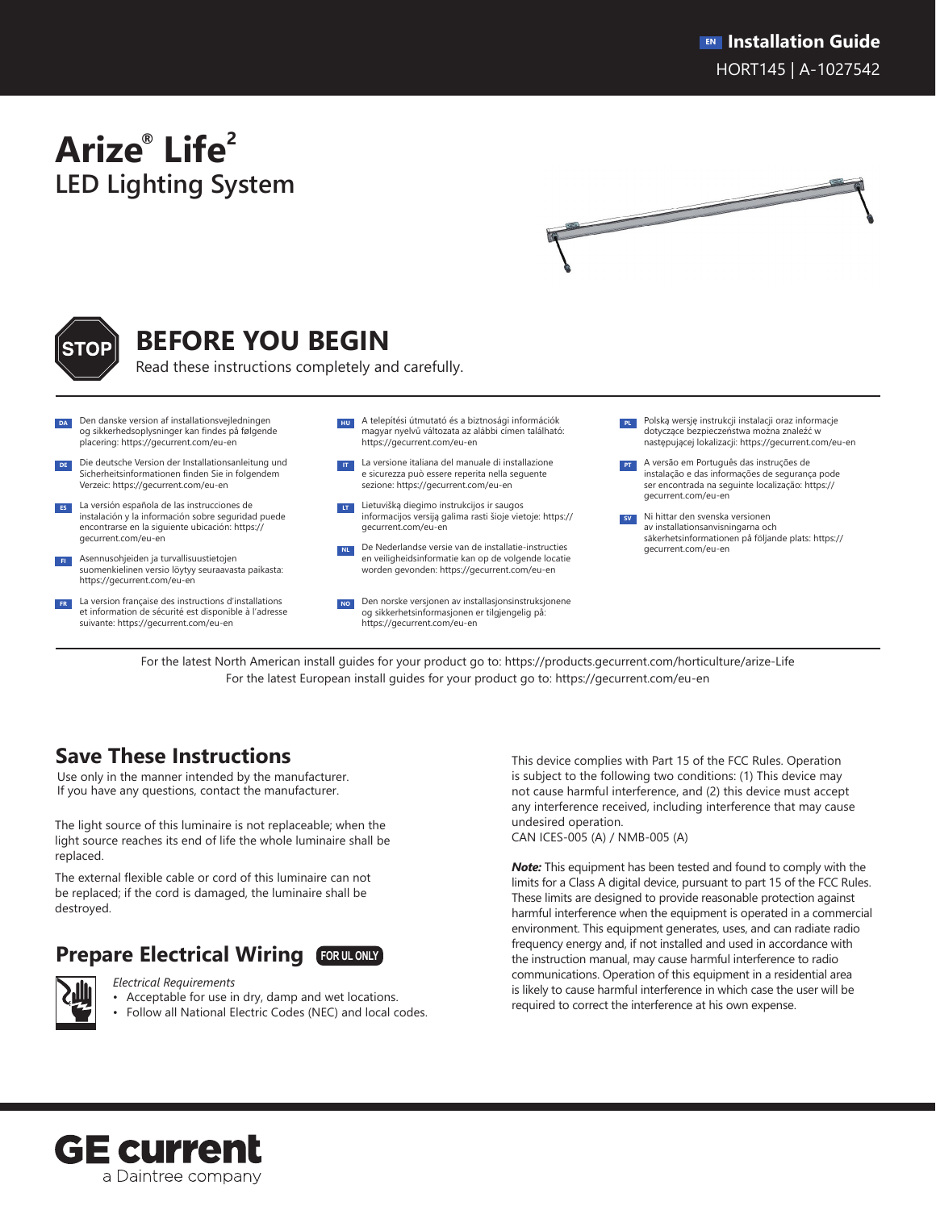# **Arize® Life2 LED Lighting System**





# **BEFORE YOU BEGIN**

Read these instructions completely and carefully.

- Den danske version af installationsvejledningen og sikkerhedsoplysninger kan findes på følgende placering: https://gecurrent.com/eu-en
- Die deutsche Version der Installationsanleitung und Sicherheitsinformationen finden Sie in folgendem Verzeic: https://gecurrent.com/eu-en
- **ES** La versión española de las instrucciones de instalación y la información sobre seguridad puede encontrarse en la siguiente ubicación: https:// gecurrent.com/eu-en
- **FI** Asennusohjeiden ja turvallisuustietojen suomenkielinen versio löytyy seuraavasta paikasta: https://gecurrent.com/eu-en
- **FR** La version française des instructions d'installations et information de sécurité est disponible à l'adresse suivante: https://gecurrent.com/eu-en
- **HU** A telepítési útmutató és a biztnosági információk magyar nyelvű változata az alábbi címen található: https://gecurrent.com/eu-en
- **IT** La versione italiana del manuale di installazione e sicurezza può essere reperita nella seguente sezione: https://gecurrent.com/eu-en
- **LT** Lietuvišką diegimo instrukcijos ir saugos informacijos versiją galima rasti šioje vietoje: https:// gecurrent.com/eu-en
- **NL** De Nederlandse versie van de installatie-instructies en veiligheidsinformatie kan op de volgende locatie worden gevonden: https://gecurrent.com/eu-en
- **NO** Den norske versjonen av installasjonsinstruksjonene og sikkerhetsinformasjonen er tilgjengelig på: https://gecurrent.com/eu-en
- **PL** Polską wersję instrukcji instalacji oraz informacje dotyczące bezpieczeństwa można znaleźć w następującej lokalizacji: https://gecurrent.com/eu-en
- **PT** A versão em Português das instruções de instalação e das informações de segurança pode ser encontrada na seguinte localização: https:// gecurrent.com/eu-en
- **SV** Ni hittar den svenska versionen av installationsanvisningarna och säkerhetsinformationen på följande plats: https:// gecurrent.com/eu-en

For the latest North American install guides for your product go to: https://products.gecurrent.com/horticulture/arize-Life For the latest European install guides for your product go to: https://gecurrent.com/eu-en

## **Save These Instructions**

Use only in the manner intended by the manufacturer. If you have any questions, contact the manufacturer.

The light source of this luminaire is not replaceable; when the light source reaches its end of life the whole luminaire shall be replaced.

The external flexible cable or cord of this luminaire can not be replaced; if the cord is damaged, the luminaire shall be destroyed.

#### **Prepare Electrical Wiring FOR UL ONLY**



*Electrical Requirements*

- Acceptable for use in dry, damp and wet locations.
- Follow all National Electric Codes (NEC) and local codes.

This device complies with Part 15 of the FCC Rules. Operation is subject to the following two conditions: (1) This device may not cause harmful interference, and (2) this device must accept any interference received, including interference that may cause undesired operation.

CAN ICES-005 (A) / NMB-005 (A)

*Note:* This equipment has been tested and found to comply with the limits for a Class A digital device, pursuant to part 15 of the FCC Rules. These limits are designed to provide reasonable protection against harmful interference when the equipment is operated in a commercial environment. This equipment generates, uses, and can radiate radio frequency energy and, if not installed and used in accordance with the instruction manual, may cause harmful interference to radio communications. Operation of this equipment in a residential area is likely to cause harmful interference in which case the user will be required to correct the interference at his own expense.

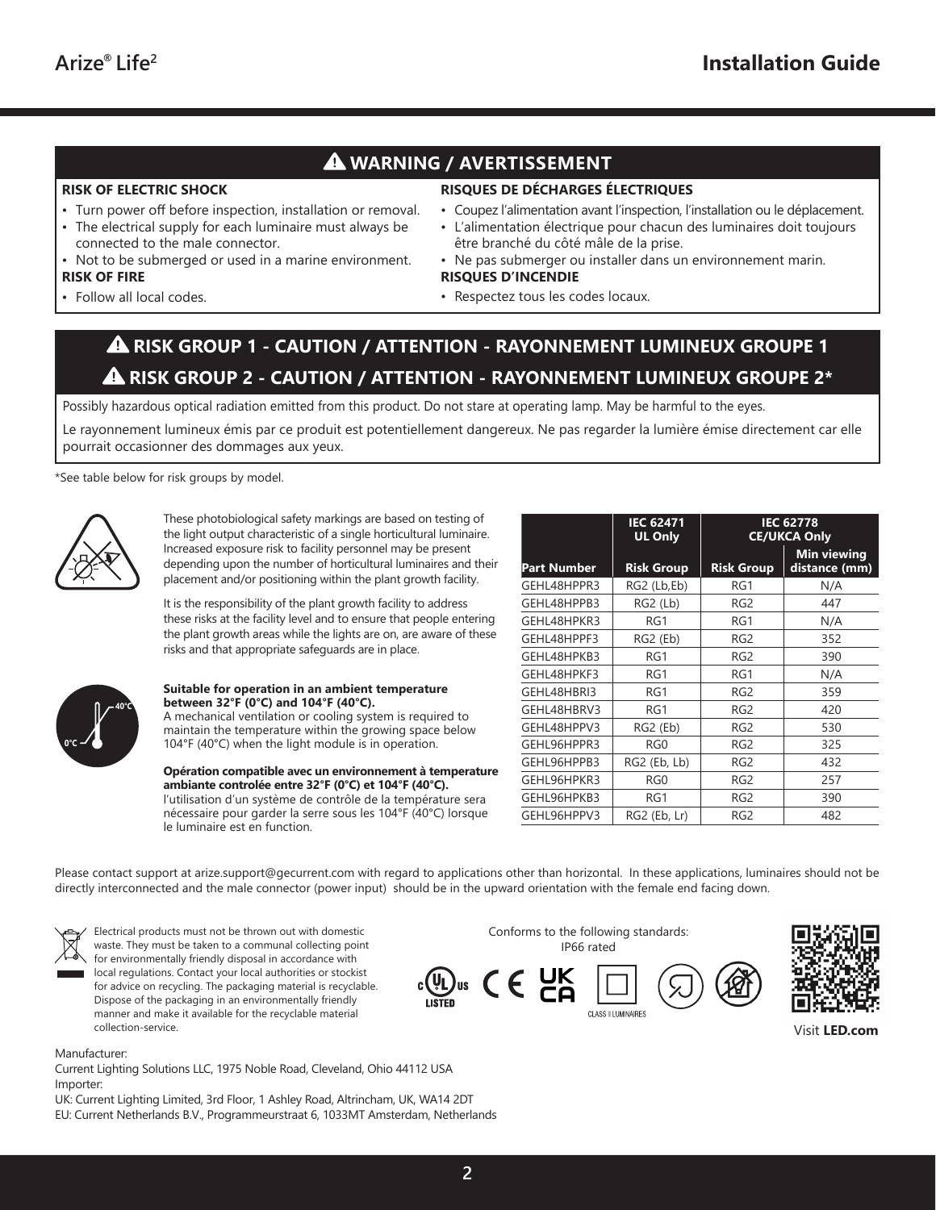### **WARNING / AVERTISSEMENT**

#### **RISK OF ELECTRIC SHOCK**

- Turn power off before inspection, installation or removal.
- The electrical supply for each luminaire must always be connected to the male connector.
- Not to be submerged or used in a marine environment. **RISK OF FIRE**
- Follow all local codes.
- **RISQUES DE DÉCHARGES ÉLECTRIQUES**
- Coupez l'alimentation avant l'inspection, l'installation ou le déplacement.
- L'alimentation électrique pour chacun des luminaires doit toujours être branché du côté mâle de la prise.
- Ne pas submerger ou installer dans un environnement marin.
- **RISQUES D'INCENDIE**
	- Respectez tous les codes locaux.

### **RISK GROUP 1 - CAUTION / ATTENTION - RAYONNEMENT LUMINEUX GROUPE 1 RISK GROUP 2 - CAUTION / ATTENTION - RAYONNEMENT LUMINEUX GROUPE 2\***

Possibly hazardous optical radiation emitted from this product. Do not stare at operating lamp. May be harmful to the eyes.

Le rayonnement lumineux émis par ce produit est potentiellement dangereux. Ne pas regarder la lumière émise directement car elle pourrait occasionner des dommages aux yeux.

\*See table below for risk groups by model.



These photobiological safety markings are based on testing of the light output characteristic of a single horticultural luminaire. Increased exposure risk to facility personnel may be present depending upon the number of horticultural luminaires and their placement and/or positioning within the plant growth facility.

It is the responsibility of the plant growth facility to address these risks at the facility level and to ensure that people entering the plant growth areas while the lights are on, are aware of these risks and that appropriate safeguards are in place.



#### **Suitable for operation in an ambient temperature between 32°F (0°C) and 104°F (40°C).**

A mechanical ventilation or cooling system is required to maintain the temperature within the growing space below 104°F (40°C) when the light module is in operation.

**Opération compatible avec un environnement à temperature ambiante controlée entre 32°F (0°C) et 104°F (40°C).**  l'utilisation d'un système de contrôle de la température sera nécessaire pour garder la serre sous les 104°F (40°C) lorsque le luminaire est en function.

|                    | <b>IEC 62471</b><br><b>UL Only</b> | <b>IEC 62778</b><br><b>CE/UKCA Only</b> |                                     |  |  |
|--------------------|------------------------------------|-----------------------------------------|-------------------------------------|--|--|
| <b>Part Number</b> | <b>Risk Group</b>                  | <b>Risk Group</b>                       | <b>Min viewing</b><br>distance (mm) |  |  |
| GEHL48HPPR3        | RG2 (Lb,Eb)                        | RG1                                     | N/A                                 |  |  |
| GEHL48HPPB3        | RG2 (Lb)                           | RG <sub>2</sub>                         | 447                                 |  |  |
| GEHL48HPKR3        | RG1                                | RG1                                     | N/A                                 |  |  |
| GEHL48HPPF3        | RG2 (Eb)                           | RG <sub>2</sub>                         | 352                                 |  |  |
| GEHL48HPKB3        | RG1                                | RG <sub>2</sub>                         | 390                                 |  |  |
| GEHL48HPKF3        | RG1                                | RG1                                     | N/A                                 |  |  |
| GEHL48HBRI3        | RG1                                | RG <sub>2</sub>                         | 359                                 |  |  |
| GEHL48HBRV3        | RG1                                | RG <sub>2</sub>                         | 420                                 |  |  |
| GEHL48HPPV3        | RG2 (Eb)                           | RG <sub>2</sub>                         | 530                                 |  |  |
| GEHL96HPPR3        | RGO                                | RG <sub>2</sub>                         | 325                                 |  |  |
| GEHL96HPPB3        | RG2 (Eb, Lb)                       | RG <sub>2</sub>                         | 432                                 |  |  |
| GEHL96HPKR3        | RG <sub>0</sub>                    | RG <sub>2</sub>                         | 257                                 |  |  |
| GEHL96HPKB3        | RG1                                | RG <sub>2</sub>                         | 390                                 |  |  |
| GEHL96HPPV3        | RG2 (Eb, Lr)                       | RG <sub>2</sub>                         | 482                                 |  |  |

Please contact support at arize.support@gecurrent.com with regard to applications other than horizontal. In these applications, luminaires should not be directly interconnected and the male connector (power input) should be in the upward orientation with the female end facing down.



Electrical products must not be thrown out with domestic waste. They must be taken to a communal collecting point for environmentally friendly disposal in accordance with local regulations. Contact your local authorities or stockist for advice on recycling. The packaging material is recyclable. Dispose of the packaging in an environmentally friendly manner and make it available for the recyclable material collection-service.



Current Lighting Solutions LLC, 1975 Noble Road, Cleveland, Ohio 44112 USA Importer:

UK: Current Lighting Limited, 3rd Floor, 1 Ashley Road, Altrincham, UK, WA14 2DT EU: Current Netherlands B.V., Programmeurstraat 6, 1033MT Amsterdam, Netherlands





Visit **LED.com**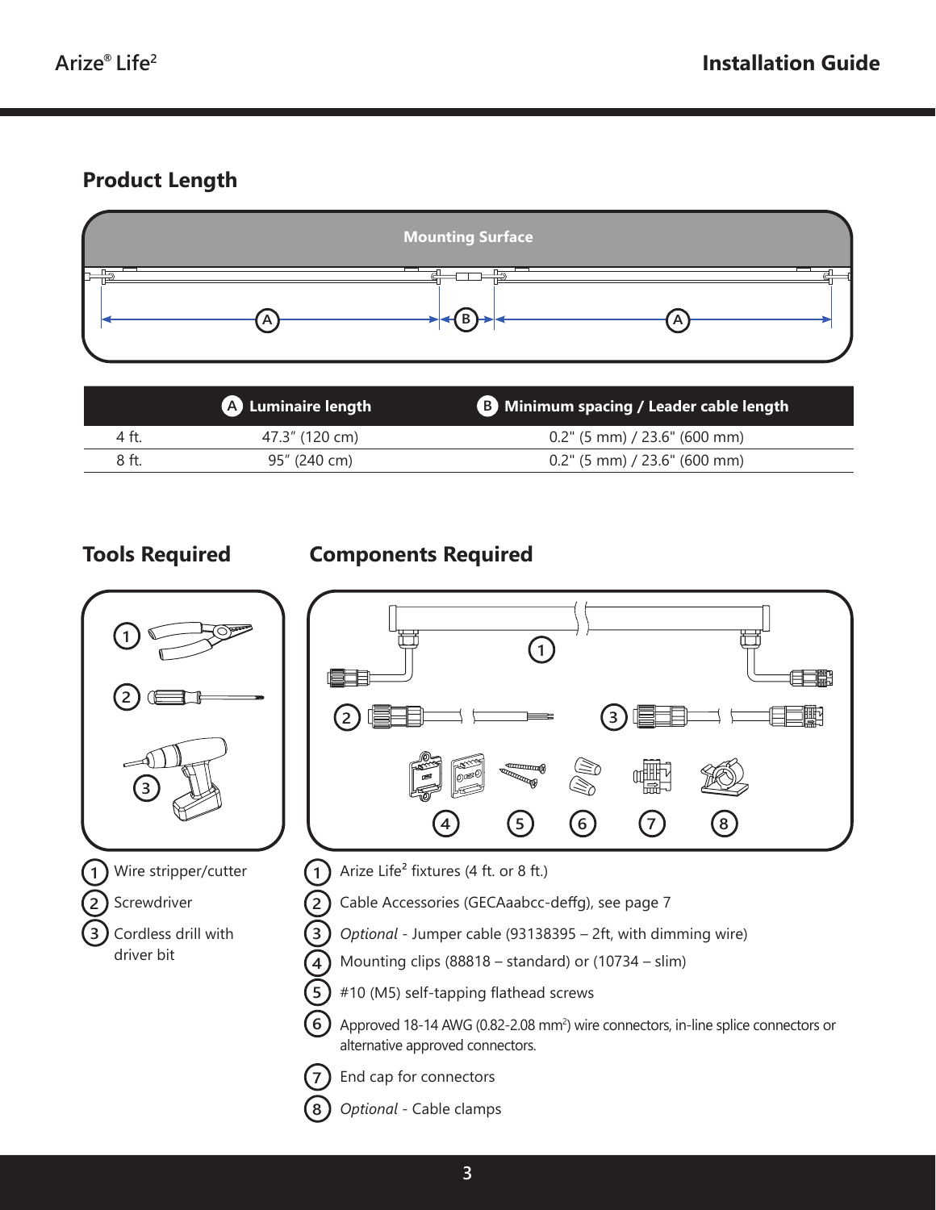# **Product Length**



|       | <b>A</b> Luminaire length | <b>B</b> Minimum spacing / Leader cable length |
|-------|---------------------------|------------------------------------------------|
| 4 ft. | 47.3" (120 cm)            | $0.2$ " (5 mm) / 23.6" (600 mm)                |
| 8 ft. | 95" (240 cm)              | $0.2$ " (5 mm) / 23.6" (600 mm)                |



### **Tools Required Components Required**



- Arize Life² fixtures (4 ft. or 8 ft.) **1**
	- Cable Accessories (GECAaabcc-deffg), see page 7
- *Optional* Jumper cable (93138395 2ft, with dimming wire) **3**
- Mounting clips (88818 standard) or (10734 slim) **4**
	- #10 (M5) self-tapping flathead screws
- Approved 18-14 AWG (0.82-2.08 mm<sup>2</sup>) wire connectors, in-line splice connectors or alternative approved connectors. **6**

End cap for connectors **7**

**2**

**5**

**8**

*Optional* - Cable clamps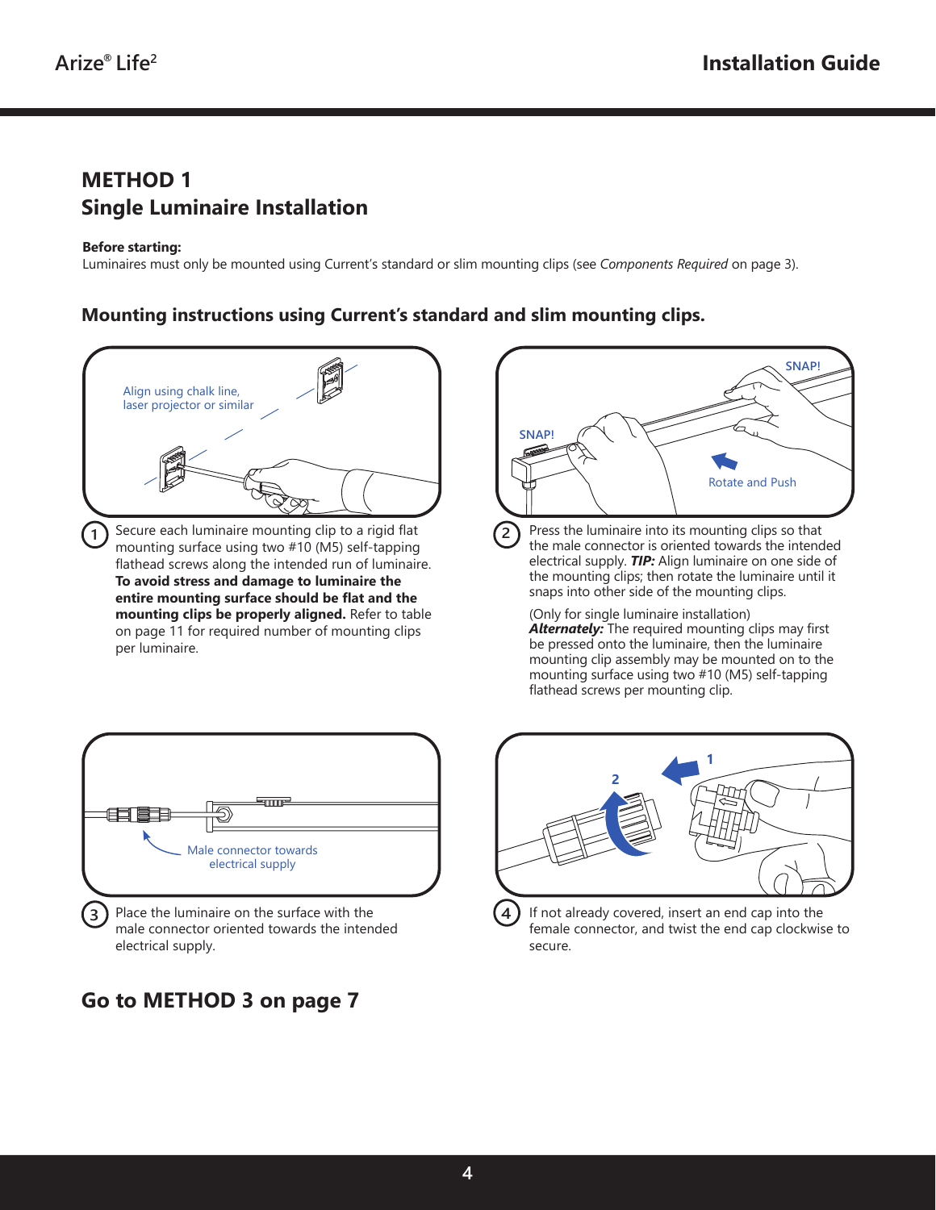#### **METHOD 1 Single Luminaire Installation**

#### **Before starting:**

Luminaires must only be mounted using Current's standard or slim mounting clips (see *Components Required* on page 3).

#### **Mounting instructions using Current's standard and slim mounting clips.**





male connector oriented towards the intended electrical supply.

## **Go to METHOD 3 on page 7**



*Alternately:* The required mounting clips may first be pressed onto the luminaire, then the luminaire mounting clip assembly may be mounted on to the mounting surface using two #10 (M5) self-tapping flathead screws per mounting clip.



If not already covered, insert an end cap into the female connector, and twist the end cap clockwise to secure.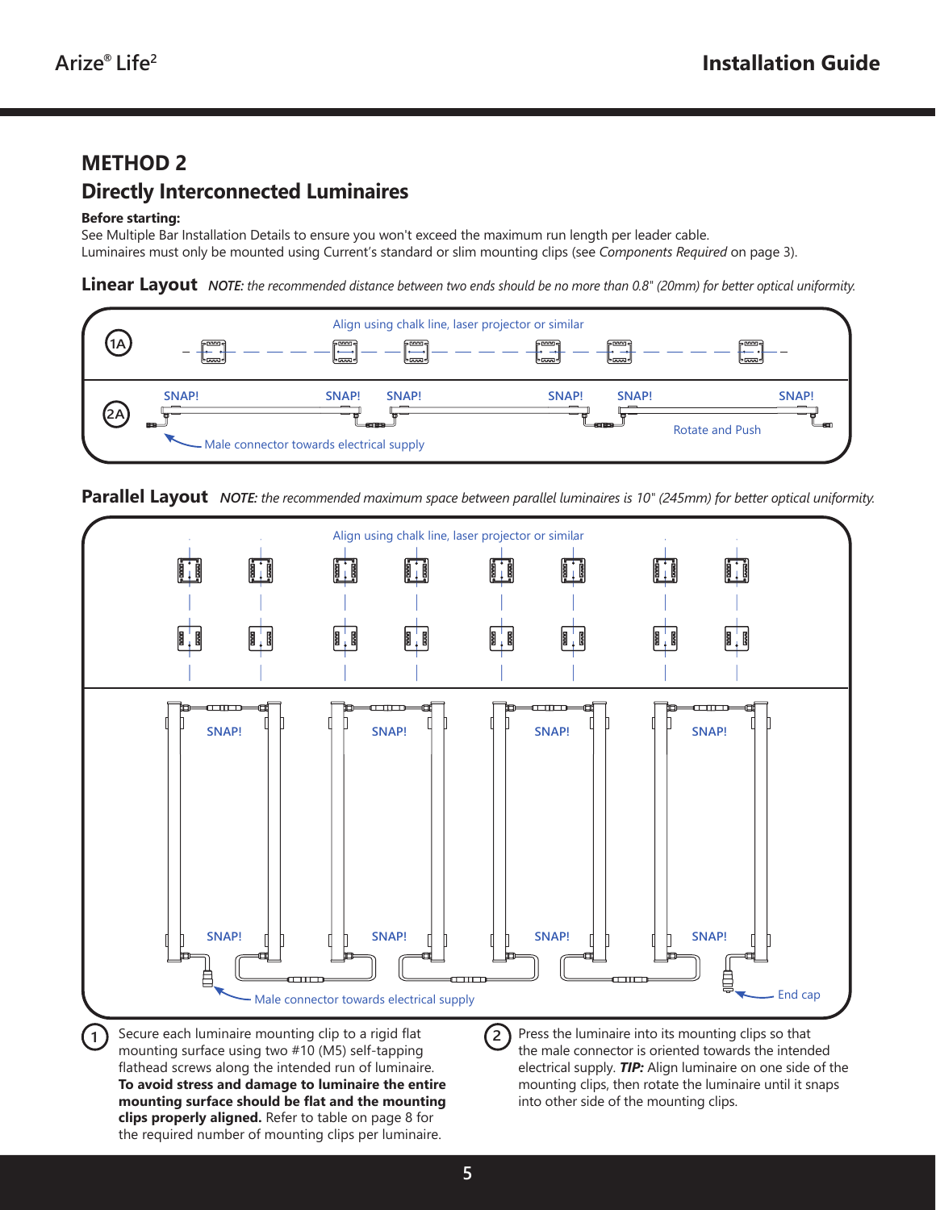### **METHOD 2 Directly Interconnected Luminaires**

#### **Before starting:**

See Multiple Bar Installation Details to ensure you won't exceed the maximum run length per leader cable. Luminaires must only be mounted using Current's standard or slim mounting clips (see *Components Required* on page 3).

**Linear Layout** *NOTE: the recommended distance between two ends should be no more than 0.8" (20mm) for better optical uniformity.*







**To avoid stress and damage to luminaire the entire mounting surface should be flat and the mounting clips properly aligned.** Refer to table on page 8 for the required number of mounting clips per luminaire.

mounting clips, then rotate the luminaire until it snaps into other side of the mounting clips.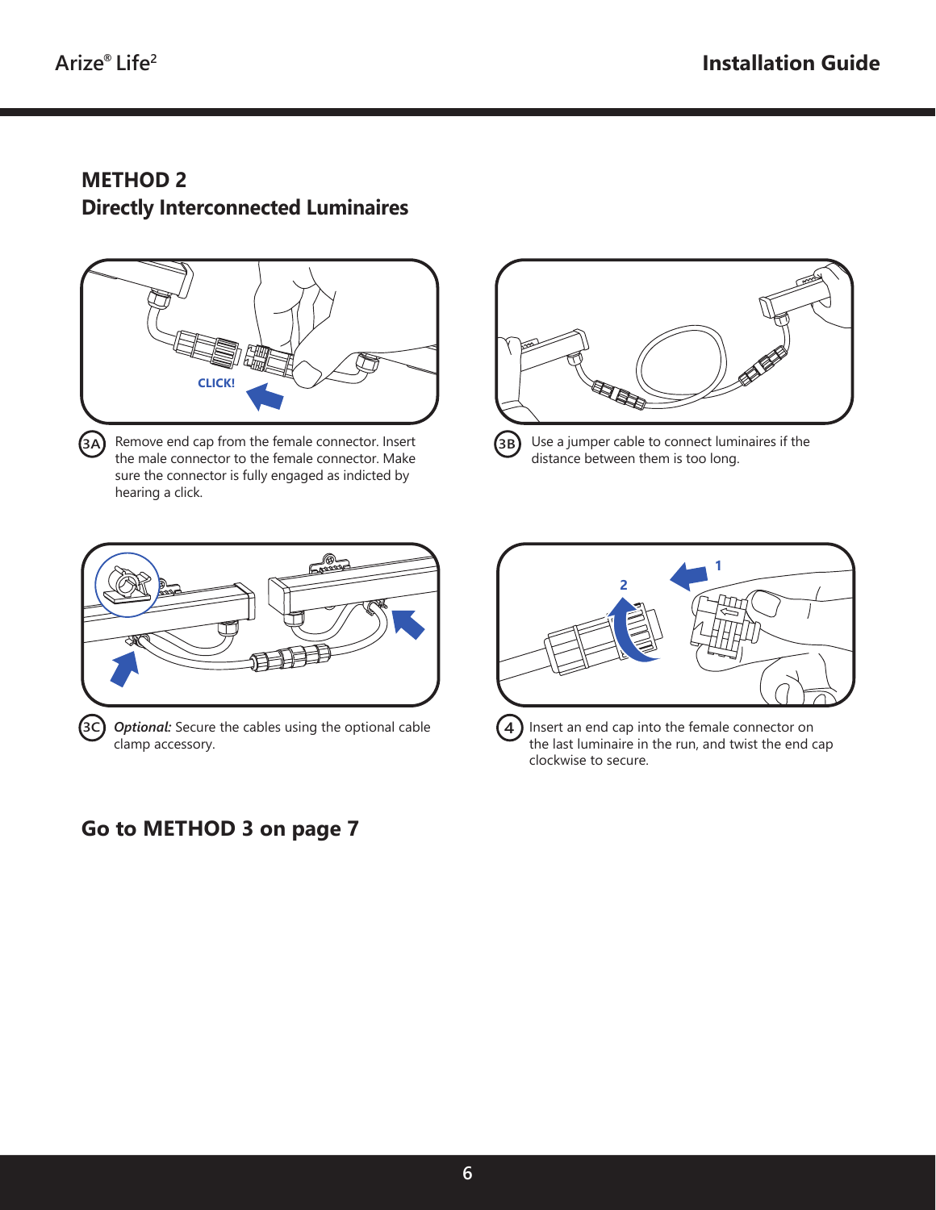**3C**

#### **METHOD 2 Directly Interconnected Luminaires**



**3A)** Remove end cap from the female connector. Insert the male connector to the female connector. Make sure the connector is fully engaged as indicted by hearing a click.



Use a jumper cable to connect luminaires if the distance between them is too long. **3B**



*Optional:* Secure the cables using the optional cable clamp accessory.

#### **Go to METHOD 3 on page 7**



Insert an end cap into the female connector on the last luminaire in the run, and twist the end cap clockwise to secure. **4**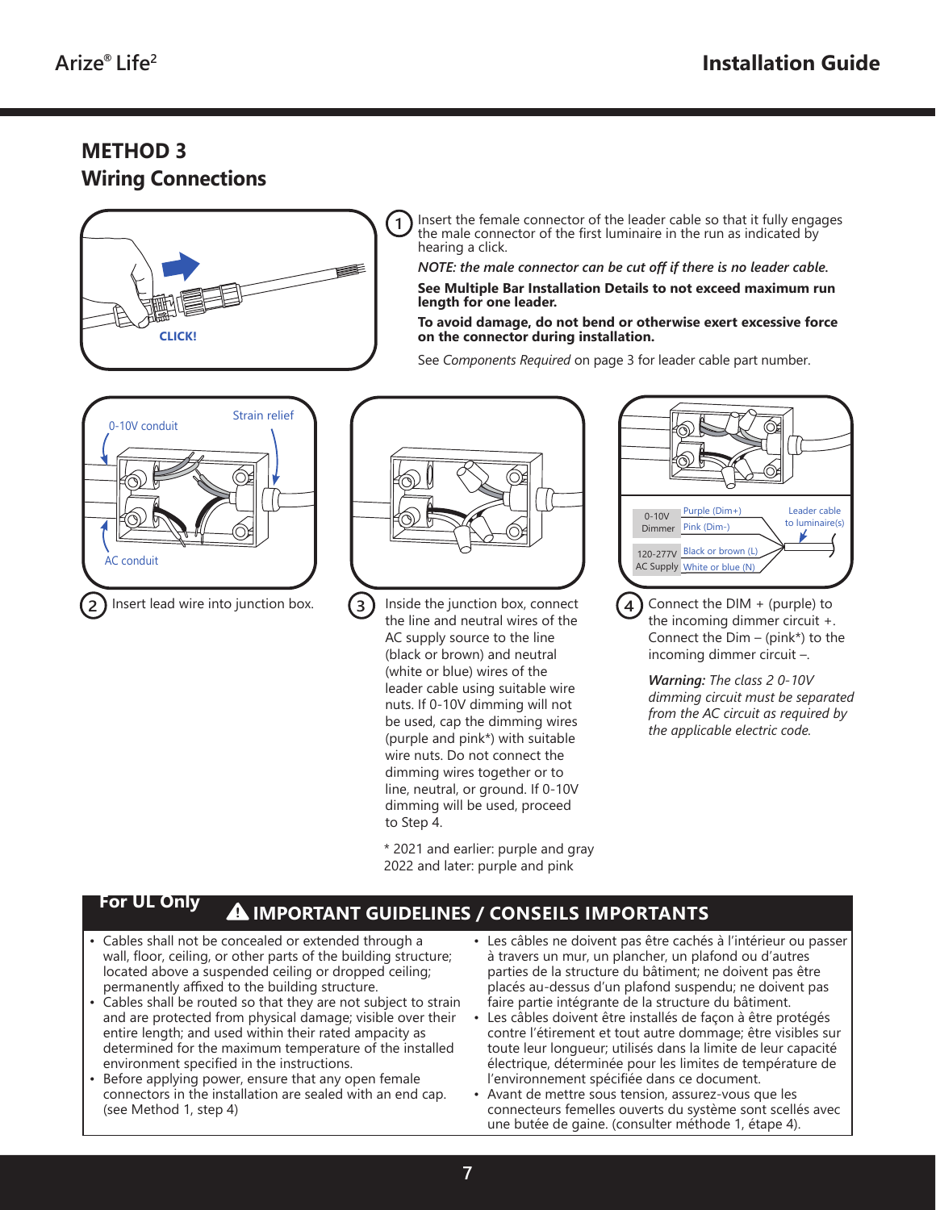### **METHOD 3 Wiring Connections**



Insert the female connector of the leader cable so that it fully engages the male connector of the first luminaire in the run as indicated by hearing a click.

*NOTE: the male connector can be cut off if there is no leader cable.*

**See Multiple Bar Installation Details to not exceed maximum run length for one leader.**

#### **To avoid damage, do not bend or otherwise exert excessive force on the connector during installation.**

See *Components Required* on page 3 for leader cable part number.





Inside the junction box, connect the line and neutral wires of the AC supply source to the line (black or brown) and neutral (white or blue) wires of the leader cable using suitable wire nuts. If 0-10V dimming will not be used, cap the dimming wires (purple and pink\*) with suitable wire nuts. Do not connect the dimming wires together or to line, neutral, or ground. If 0-10V dimming will be used, proceed to Step 4. **3**

> \* 2021 and earlier: purple and gray 2022 and later: purple and pink



Connect the DIM + (purple) to the incoming dimmer circuit +. Connect the  $Dim - (pink*)$  to the incoming dimmer circuit –.

*Warning: The class 2 0-10V dimming circuit must be separated from the AC circuit as required by the applicable electric code.*

#### **For UL Only**

#### **IMPORTANT GUIDELINES / CONSEILS IMPORTANTS**

- Cables shall not be concealed or extended through a wall, floor, ceiling, or other parts of the building structure; located above a suspended ceiling or dropped ceiling; permanently affixed to the building structure.
- Cables shall be routed so that they are not subject to strain and are protected from physical damage; visible over their entire length; and used within their rated ampacity as determined for the maximum temperature of the installed environment specified in the instructions.
- Before applying power, ensure that any open female connectors in the installation are sealed with an end cap. (see Method 1, step 4)
- Les câbles ne doivent pas être cachés à l'intérieur ou passer à travers un mur, un plancher, un plafond ou d'autres parties de la structure du bâtiment; ne doivent pas être placés au-dessus d'un plafond suspendu; ne doivent pas faire partie intégrante de la structure du bâtiment.
- Les câbles doivent être installés de façon à être protégés contre l'étirement et tout autre dommage; être visibles sur toute leur longueur; utilisés dans la limite de leur capacité électrique, déterminée pour les limites de température de l'environnement spécifiée dans ce document.
- Avant de mettre sous tension, assurez-vous que les connecteurs femelles ouverts du système sont scellés avec une butée de gaine. (consulter méthode 1, étape 4).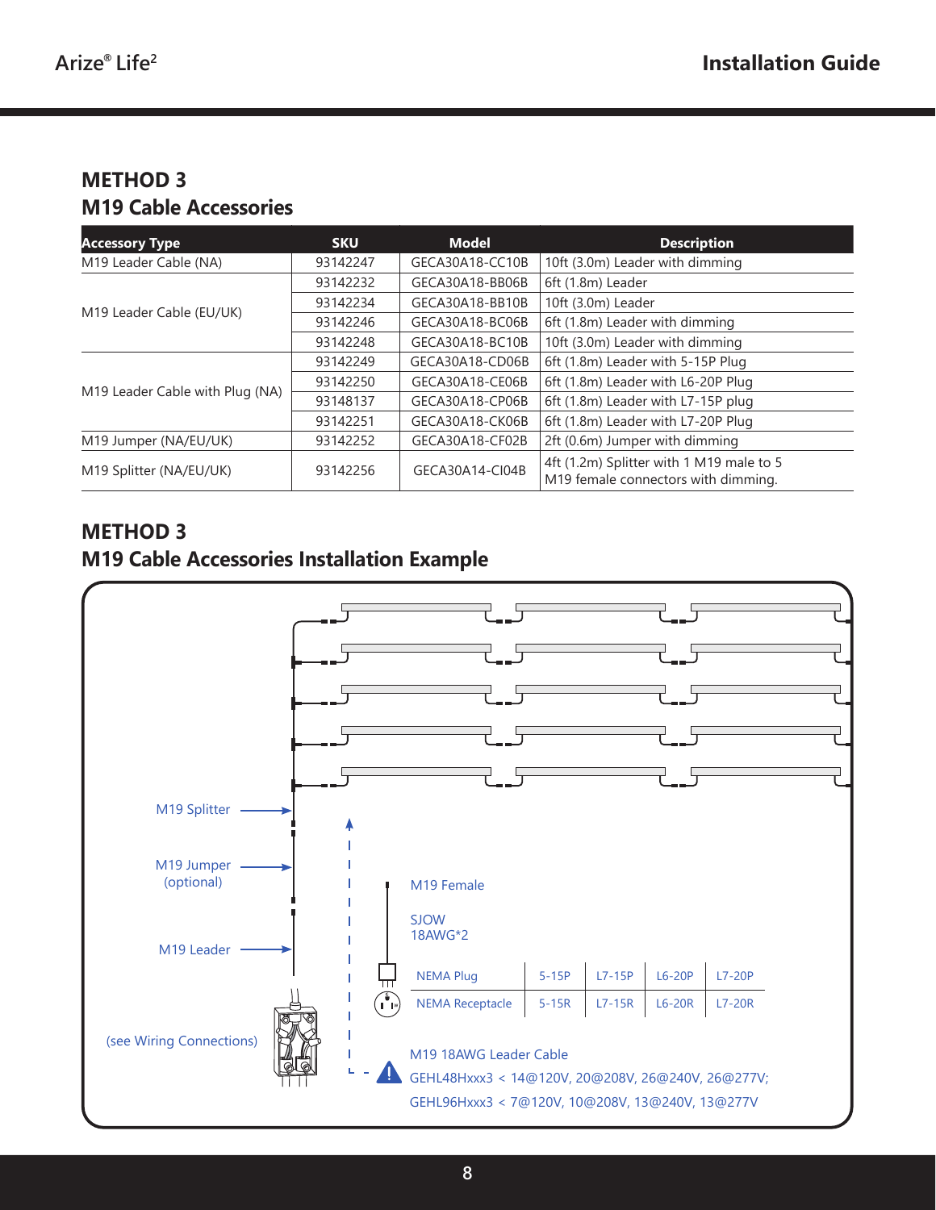# **METHOD 3 M19 Cable Accessories**

| <b>Accessory Type</b>                                  | <b>SKU</b> | <b>Model</b>                                                                    | <b>Description</b>                 |
|--------------------------------------------------------|------------|---------------------------------------------------------------------------------|------------------------------------|
| M19 Leader Cable (NA)                                  | 93142247   | GECA30A18-CC10B                                                                 | 10ft (3.0m) Leader with dimming    |
|                                                        | 93142232   | GECA30A18-BB06B                                                                 | 6ft (1.8m) Leader                  |
| M19 Leader Cable (EU/UK)                               | 93142234   | GECA30A18-BB10B                                                                 | 10ft (3.0m) Leader                 |
|                                                        | 93142246   | GECA30A18-BC06B                                                                 | 6ft (1.8m) Leader with dimming     |
|                                                        | 93142248   | GECA30A18-BC10B                                                                 | 10ft (3.0m) Leader with dimming    |
|                                                        | 93142249   | GECA30A18-CD06B                                                                 | 6ft (1.8m) Leader with 5-15P Plug  |
| M19 Leader Cable with Plug (NA)                        | 93142250   | GECA30A18-CE06B                                                                 | 6ft (1.8m) Leader with L6-20P Plug |
|                                                        | 93148137   | GECA30A18-CP06B                                                                 | 6ft (1.8m) Leader with L7-15P plug |
|                                                        | 93142251   | GECA30A18-CK06B                                                                 | 6ft (1.8m) Leader with L7-20P Plug |
| M19 Jumper (NA/EU/UK)                                  | 93142252   | GECA30A18-CF02B                                                                 | 2ft (0.6m) Jumper with dimming     |
| GECA30A14-CI04B<br>93142256<br>M19 Splitter (NA/EU/UK) |            | 4ft (1.2m) Splitter with 1 M19 male to 5<br>M19 female connectors with dimming. |                                    |

### **METHOD 3 M19 Cable Accessories Installation Example**

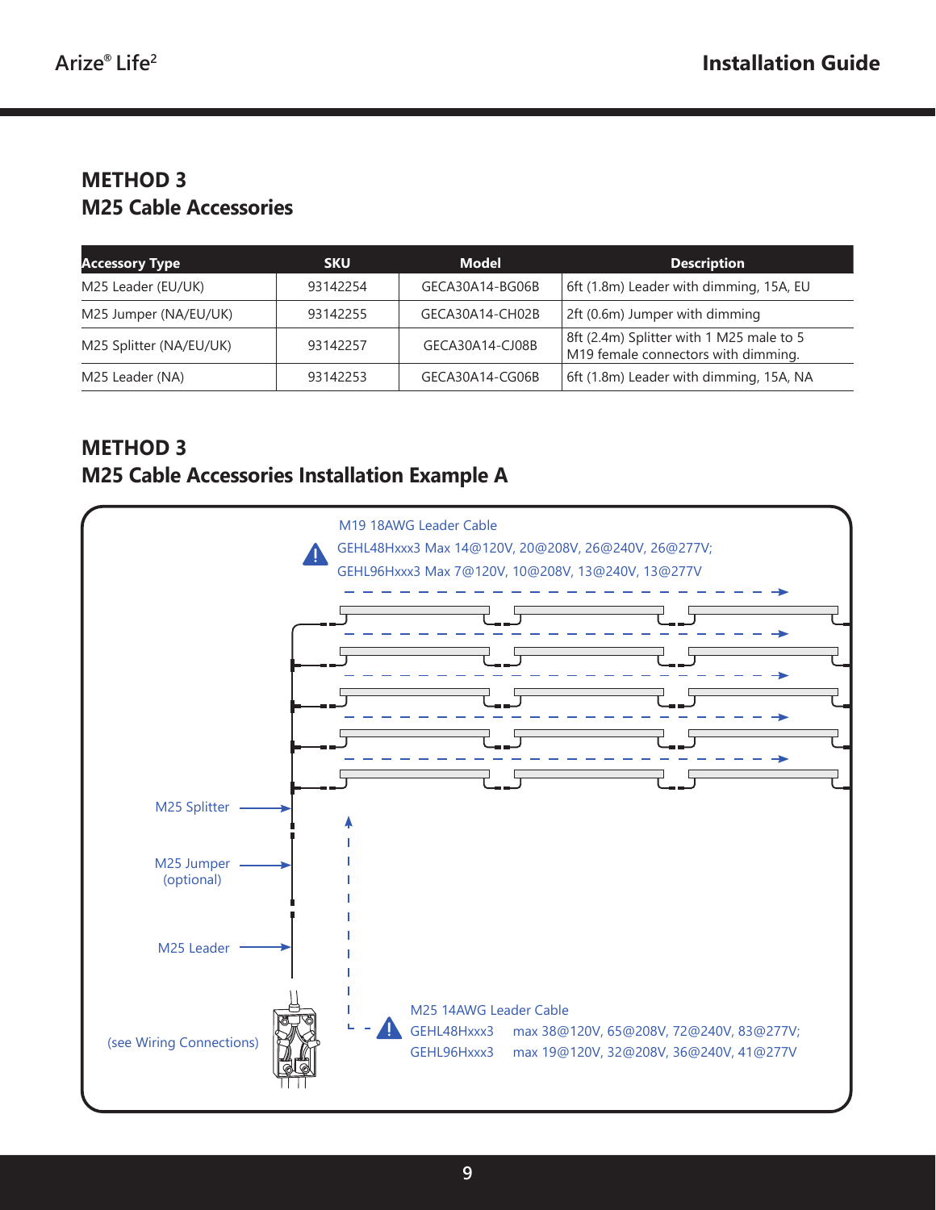#### **METHOD 3 M25 Cable Accessories**

| <b>Accessory Type</b>   | <b>SKU</b> | <b>Model</b>    | <b>Description</b>                                                              |
|-------------------------|------------|-----------------|---------------------------------------------------------------------------------|
| M25 Leader (EU/UK)      | 93142254   | GECA30A14-BG06B | 6ft (1.8m) Leader with dimming, 15A, EU                                         |
| M25 Jumper (NA/EU/UK)   | 93142255   | GECA30A14-CH02B | 2ft (0.6m) Jumper with dimming                                                  |
| M25 Splitter (NA/EU/UK) | 93142257   | GECA30A14-CJ08B | 8ft (2.4m) Splitter with 1 M25 male to 5<br>M19 female connectors with dimming. |
| M25 Leader (NA)         | 93142253   | GECA30A14-CG06B | 6ft (1.8m) Leader with dimming, 15A, NA                                         |

### **METHOD 3 M25 Cable Accessories Installation Example A**

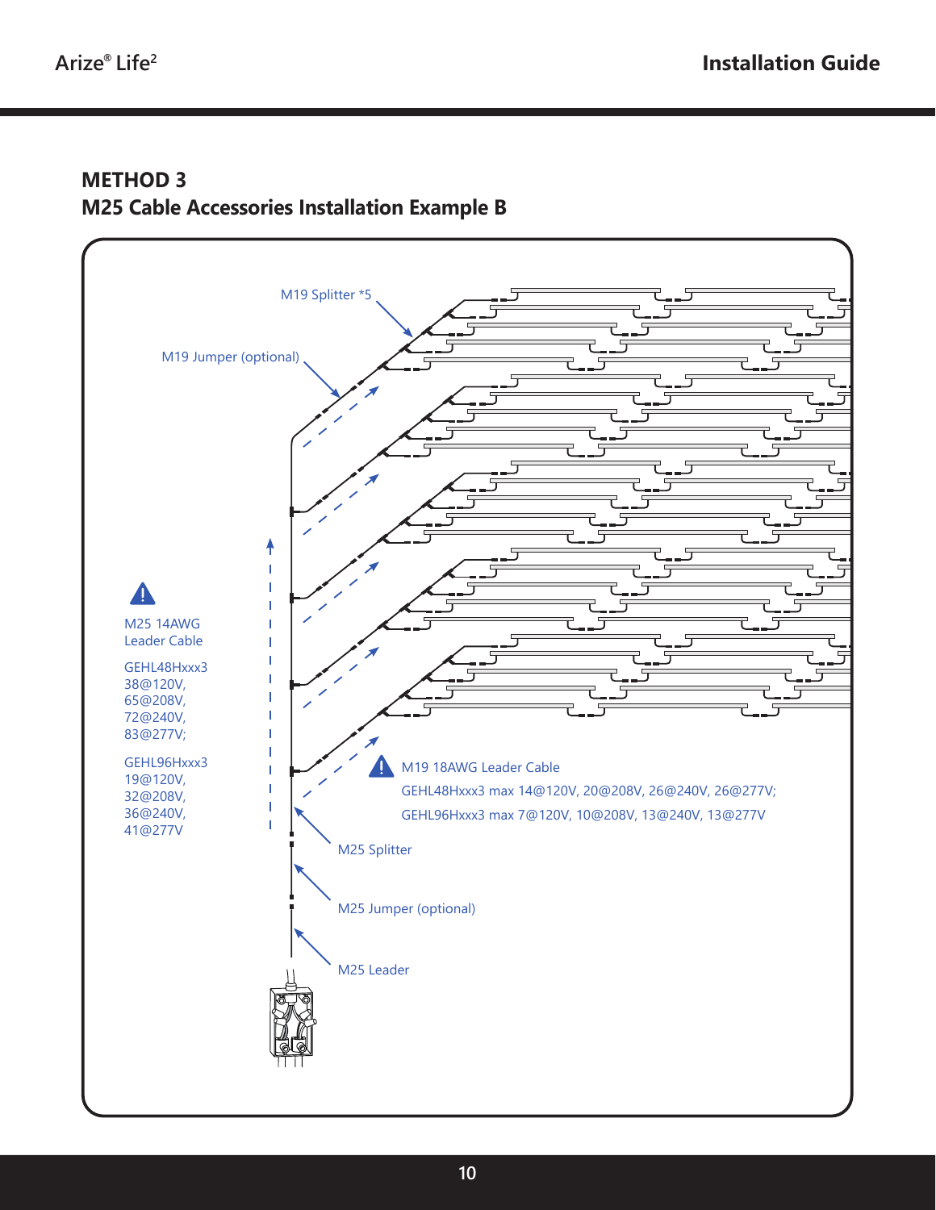#### **METHOD 3 M25 Cable Accessories Installation Example B**

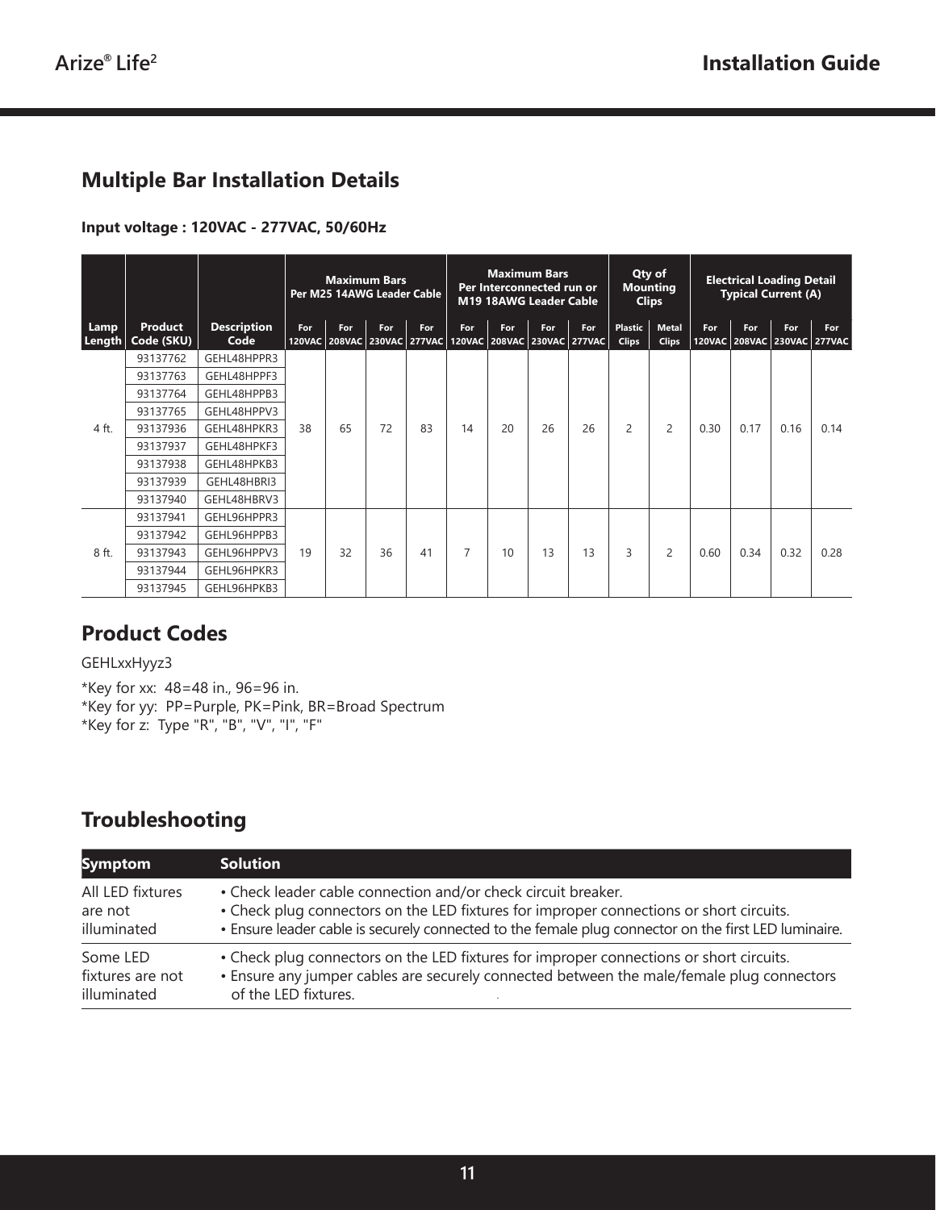# **Multiple Bar Installation Details**

#### **Input voltage : 120VAC - 277VAC, 50/60Hz**

|                |                              |                            | <b>Maximum Bars</b><br>Per M25 14AWG Leader Cable |     |     |                                                                |                | <b>Maximum Bars</b><br>Per Interconnected run or<br>M19 18AWG Leader Cable |     | Qty of<br><b>Mounting</b><br><b>Clips</b> |                                | <b>Electrical Loading Detail</b><br><b>Typical Current (A)</b> |      |      |                                    |      |
|----------------|------------------------------|----------------------------|---------------------------------------------------|-----|-----|----------------------------------------------------------------|----------------|----------------------------------------------------------------------------|-----|-------------------------------------------|--------------------------------|----------------------------------------------------------------|------|------|------------------------------------|------|
| Lamp<br>Length | <b>Product</b><br>Code (SKU) | <b>Description</b><br>Code | For                                               | For | For | For<br>120VAC 208VAC 230VAC 277VAC 120VAC 208VAC 230VAC 277VAC | For            | For                                                                        | For | For                                       | <b>Plastic</b><br><b>Clips</b> | <b>Metal</b><br><b>Clips</b>                                   | For  | For  | For<br>120VAC 208VAC 230VAC 277VAC | For  |
|                | 93137762                     | GEHL48HPPR3                |                                                   |     |     |                                                                |                |                                                                            |     |                                           |                                |                                                                |      |      |                                    |      |
|                | 93137763                     | GEHL48HPPF3                |                                                   |     | 72  | 83                                                             | 14             | 20                                                                         | 26  | 26                                        | 2                              | 2                                                              | 0.30 | 0.17 | 0.16                               | 0.14 |
|                | 93137764                     | GEHL48HPPB3                |                                                   | 65  |     |                                                                |                |                                                                            |     |                                           |                                |                                                                |      |      |                                    |      |
|                | 93137765                     | GEHL48HPPV3                |                                                   |     |     |                                                                |                |                                                                            |     |                                           |                                |                                                                |      |      |                                    |      |
| 4 ft.          | 93137936                     | GEHL48HPKR3                | 38                                                |     |     |                                                                |                |                                                                            |     |                                           |                                |                                                                |      |      |                                    |      |
|                | 93137937                     | GEHL48HPKF3                |                                                   |     |     |                                                                |                |                                                                            |     |                                           |                                |                                                                |      |      |                                    |      |
|                | 93137938                     | GEHL48HPKB3                |                                                   |     |     |                                                                |                |                                                                            |     |                                           |                                |                                                                |      |      |                                    |      |
|                | 93137939                     | GEHL48HBRI3                |                                                   |     |     |                                                                |                |                                                                            |     |                                           |                                |                                                                |      |      |                                    |      |
|                | 93137940                     | GEHL48HBRV3                |                                                   |     |     |                                                                |                |                                                                            |     |                                           |                                |                                                                |      |      |                                    |      |
|                | 93137941                     | GEHL96HPPR3                |                                                   |     | 36  | 41                                                             | $\overline{7}$ | 10                                                                         | 13  | 13                                        | 3                              | $\overline{c}$                                                 | 0.60 |      |                                    | 0.28 |
| 8 ft.          | 93137942                     | GEHL96HPPB3                | 19                                                | 32  |     |                                                                |                |                                                                            |     |                                           |                                |                                                                |      |      |                                    |      |
|                | 93137943                     | GEHL96HPPV3                |                                                   |     |     |                                                                |                |                                                                            |     |                                           |                                |                                                                |      | 0.34 | 0.32                               |      |
|                | 93137944                     | GEHL96HPKR3                |                                                   |     |     |                                                                |                |                                                                            |     |                                           |                                |                                                                |      |      |                                    |      |
|                | 93137945                     | GEHL96HPKB3                |                                                   |     |     |                                                                |                |                                                                            |     |                                           |                                |                                                                |      |      |                                    |      |

#### **Product Codes**

#### GEHLxxHyyz3

\*Key for xx: 48=48 in., 96=96 in. \*Key for yy: PP=Purple, PK=Pink, BR=Broad Spectrum \*Key for z: Type "R", "B", "V", "I", "F"

# **Troubleshooting**

| <b>Symptom</b>   | <b>Solution</b>                                                                                      |
|------------------|------------------------------------------------------------------------------------------------------|
| All LED fixtures | • Check leader cable connection and/or check circuit breaker.                                        |
| are not          | • Check plug connectors on the LED fixtures for improper connections or short circuits.              |
| illuminated      | • Ensure leader cable is securely connected to the female plug connector on the first LED luminaire. |
| Some LED         | • Check plug connectors on the LED fixtures for improper connections or short circuits.              |
| fixtures are not | . Ensure any jumper cables are securely connected between the male/female plug connectors            |
| illuminated      | of the LED fixtures.                                                                                 |